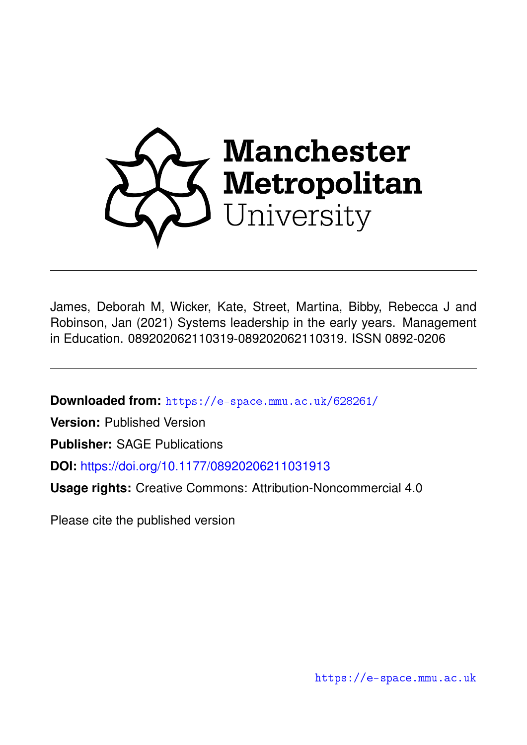

James, Deborah M, Wicker, Kate, Street, Martina, Bibby, Rebecca J and Robinson, Jan (2021) Systems leadership in the early years. Management in Education. 089202062110319-089202062110319. ISSN 0892-0206

**Downloaded from:** <https://e-space.mmu.ac.uk/628261/>

**Version:** Published Version

**Publisher:** SAGE Publications

**DOI:** <https://doi.org/10.1177/08920206211031913>

**Usage rights:** Creative Commons: Attribution-Noncommercial 4.0

Please cite the published version

<https://e-space.mmu.ac.uk>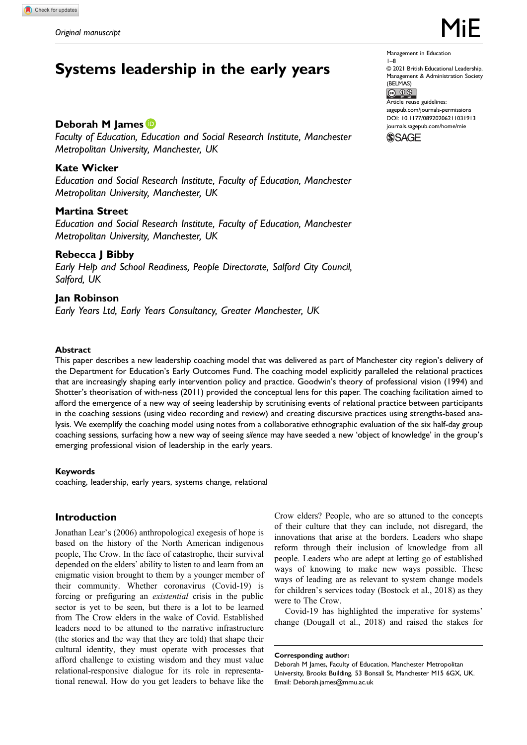# Systems leadership in the early years

# Deborah M James<sup>®</sup>

Faculty of Education, Education and Social Research Institute, Manchester Metropolitan University, Manchester, UK

# Kate Wicker

Education and Social Research Institute, Faculty of Education, Manchester Metropolitan University, Manchester, UK

# Martina Street

Education and Social Research Institute, Faculty of Education, Manchester Metropolitan University, Manchester, UK

#### Rebecca J Bibby

Early Help and School Readiness, People Directorate, Salford City Council, Salford, UK

# Jan Robinson

Early Years Ltd, Early Years Consultancy, Greater Manchester, UK

#### Management in Education 1–8

© 2021 British Educational Leadership, Management & Administration Society  $(BELMAS)$ <br> $(C)$   $O$   $\circledcirc$ 

Article reuse guidelines: [sagepub.com/journals-permissions](https://us.sagepub.com/en-us/journals-permissions) DOI: 10.1177/08920206211031913 [journals.sagepub.com/home/mie](https://journals.sagepub.com/home/mie)

**SSAGE** 

#### Abstract

This paper describes a new leadership coaching model that was delivered as part of Manchester city region's delivery of the Department for Education's Early Outcomes Fund. The coaching model explicitly paralleled the relational practices that are increasingly shaping early intervention policy and practice. Goodwin's theory of professional vision (1994) and Shotter's theorisation of with-ness (2011) provided the conceptual lens for this paper. The coaching facilitation aimed to afford the emergence of a new way of seeing leadership by scrutinising events of relational practice between participants in the coaching sessions (using video recording and review) and creating discursive practices using strengths-based analysis. We exemplify the coaching model using notes from a collaborative ethnographic evaluation of the six half-day group coaching sessions, surfacing how a new way of seeing silence may have seeded a new 'object of knowledge' in the group's emerging professional vision of leadership in the early years.

#### Keywords

coaching, leadership, early years, systems change, relational

# Introduction

Jonathan Lear's (2006) anthropological exegesis of hope is based on the history of the North American indigenous people, The Crow. In the face of catastrophe, their survival depended on the elders' ability to listen to and learn from an enigmatic vision brought to them by a younger member of their community. Whether coronavirus (Covid-19) is forcing or prefiguring an existential crisis in the public sector is yet to be seen, but there is a lot to be learned from The Crow elders in the wake of Covid. Established leaders need to be attuned to the narrative infrastructure (the stories and the way that they are told) that shape their cultural identity, they must operate with processes that afford challenge to existing wisdom and they must value relational-responsive dialogue for its role in representational renewal. How do you get leaders to behave like the Crow elders? People, who are so attuned to the concepts of their culture that they can include, not disregard, the innovations that arise at the borders. Leaders who shape reform through their inclusion of knowledge from all people. Leaders who are adept at letting go of established ways of knowing to make new ways possible. These ways of leading are as relevant to system change models for children's services today (Bostock et al., 2018) as they were to The Crow.

Covid-19 has highlighted the imperative for systems' change (Dougall et al., 2018) and raised the stakes for

Corresponding author:

Deborah M James, Faculty of Education, Manchester Metropolitan University, Brooks Building, 53 Bonsall St, Manchester M15 6GX, UK. Email: [Deborah.james@mmu.ac.uk](mailto:Deborah.james@mmu.ac.uk)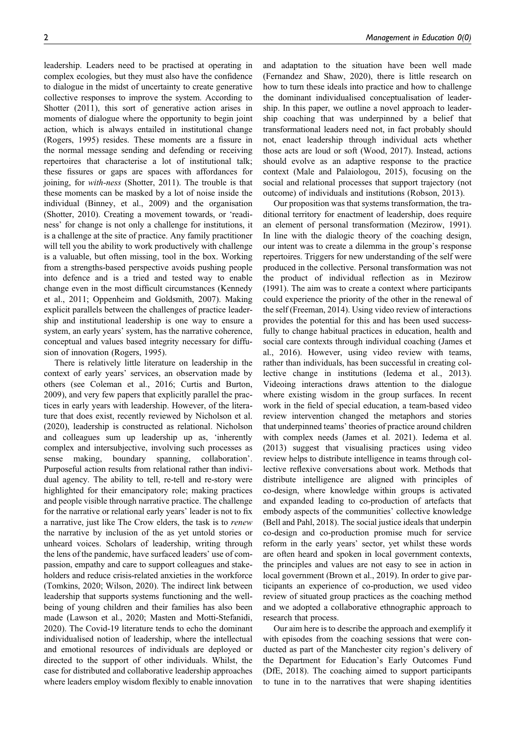leadership. Leaders need to be practised at operating in complex ecologies, but they must also have the confidence to dialogue in the midst of uncertainty to create generative collective responses to improve the system. According to Shotter (2011), this sort of generative action arises in moments of dialogue where the opportunity to begin joint action, which is always entailed in institutional change (Rogers, 1995) resides. These moments are a fissure in the normal message sending and defending or receiving repertoires that characterise a lot of institutional talk; these fissures or gaps are spaces with affordances for joining, for with-ness (Shotter, 2011). The trouble is that these moments can be masked by a lot of noise inside the individual (Binney, et al., 2009) and the organisation (Shotter, 2010). Creating a movement towards, or 'readiness' for change is not only a challenge for institutions, it is a challenge at the site of practice. Any family practitioner will tell you the ability to work productively with challenge is a valuable, but often missing, tool in the box. Working from a strengths-based perspective avoids pushing people into defence and is a tried and tested way to enable change even in the most difficult circumstances (Kennedy et al., 2011; Oppenheim and Goldsmith, 2007). Making explicit parallels between the challenges of practice leadership and institutional leadership is one way to ensure a system, an early years' system, has the narrative coherence, conceptual and values based integrity necessary for diffusion of innovation (Rogers, 1995).

There is relatively little literature on leadership in the context of early years' services, an observation made by others (see Coleman et al., 2016; Curtis and Burton, 2009), and very few papers that explicitly parallel the practices in early years with leadership. However, of the literature that does exist, recently reviewed by Nicholson et al. (2020), leadership is constructed as relational. Nicholson and colleagues sum up leadership up as, 'inherently complex and intersubjective, involving such processes as sense making, boundary spanning, collaboration'. Purposeful action results from relational rather than individual agency. The ability to tell, re-tell and re-story were highlighted for their emancipatory role; making practices and people visible through narrative practice. The challenge for the narrative or relational early years' leader is not to fix a narrative, just like The Crow elders, the task is to renew the narrative by inclusion of the as yet untold stories or unheard voices. Scholars of leadership, writing through the lens of the pandemic, have surfaced leaders' use of compassion, empathy and care to support colleagues and stakeholders and reduce crisis-related anxieties in the workforce (Tomkins, 2020; Wilson, 2020). The indirect link between leadership that supports systems functioning and the wellbeing of young children and their families has also been made (Lawson et al., 2020; Masten and Motti-Stefanidi, 2020). The Covid-19 literature tends to echo the dominant individualised notion of leadership, where the intellectual and emotional resources of individuals are deployed or directed to the support of other individuals. Whilst, the case for distributed and collaborative leadership approaches where leaders employ wisdom flexibly to enable innovation and adaptation to the situation have been well made (Fernandez and Shaw, 2020), there is little research on how to turn these ideals into practice and how to challenge the dominant individualised conceptualisation of leadership. In this paper, we outline a novel approach to leadership coaching that was underpinned by a belief that transformational leaders need not, in fact probably should not, enact leadership through individual acts whether those acts are loud or soft (Wood, 2017). Instead, actions should evolve as an adaptive response to the practice context (Male and Palaiologou, 2015), focusing on the social and relational processes that support trajectory (not outcome) of individuals and institutions (Robson, 2013).

Our proposition was that systems transformation, the traditional territory for enactment of leadership, does require an element of personal transformation (Mezirow, 1991). In line with the dialogic theory of the coaching design, our intent was to create a dilemma in the group's response repertoires. Triggers for new understanding of the self were produced in the collective. Personal transformation was not the product of individual reflection as in Mezirow (1991). The aim was to create a context where participants could experience the priority of the other in the renewal of the self (Freeman, 2014). Using video review of interactions provides the potential for this and has been used successfully to change habitual practices in education, health and social care contexts through individual coaching (James et al., 2016). However, using video review with teams, rather than individuals, has been successful in creating collective change in institutions (Iedema et al., 2013). Videoing interactions draws attention to the dialogue where existing wisdom in the group surfaces. In recent work in the field of special education, a team-based video review intervention changed the metaphors and stories that underpinned teams' theories of practice around children with complex needs (James et al. 2021). Iedema et al. (2013) suggest that visualising practices using video review helps to distribute intelligence in teams through collective reflexive conversations about work. Methods that distribute intelligence are aligned with principles of co-design, where knowledge within groups is activated and expanded leading to co-production of artefacts that embody aspects of the communities' collective knowledge (Bell and Pahl, 2018). The social justice ideals that underpin co-design and co-production promise much for service reform in the early years' sector, yet whilst these words are often heard and spoken in local government contexts, the principles and values are not easy to see in action in local government (Brown et al., 2019). In order to give participants an experience of co-production, we used video review of situated group practices as the coaching method and we adopted a collaborative ethnographic approach to research that process.

Our aim here is to describe the approach and exemplify it with episodes from the coaching sessions that were conducted as part of the Manchester city region's delivery of the Department for Education's Early Outcomes Fund (DfE, 2018). The coaching aimed to support participants to tune in to the narratives that were shaping identities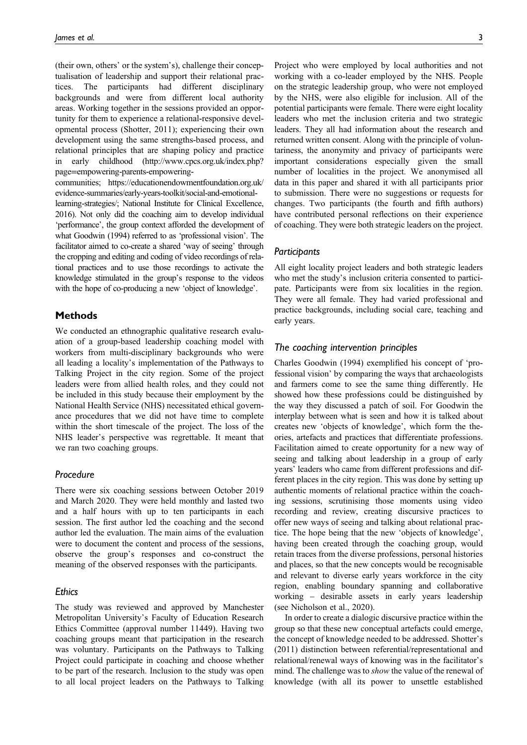(their own, others' or the system's), challenge their conceptualisation of leadership and support their relational practices. The participants had different disciplinary backgrounds and were from different local authority areas. Working together in the sessions provided an opportunity for them to experience a relational-responsive developmental process (Shotter, 2011); experiencing their own development using the same strengths-based process, and relational principles that are shaping policy and practice in early childhood (http://www.cpcs.org.uk/index.php? page=empowering-parents-empowering-

communities; https://educationendowmentfoundation.org.uk/ evidence-summaries/early-years-toolkit/social-and-emotionallearning-strategies/; National Institute for Clinical Excellence, 2016). Not only did the coaching aim to develop individual 'performance', the group context afforded the development of what Goodwin (1994) referred to as 'professional vision'. The facilitator aimed to co-create a shared 'way of seeing' through the cropping and editing and coding of video recordings of relational practices and to use those recordings to activate the knowledge stimulated in the group's response to the videos with the hope of co-producing a new 'object of knowledge'.

# **Methods**

We conducted an ethnographic qualitative research evaluation of a group-based leadership coaching model with workers from multi-disciplinary backgrounds who were all leading a locality's implementation of the Pathways to Talking Project in the city region. Some of the project leaders were from allied health roles, and they could not be included in this study because their employment by the National Health Service (NHS) necessitated ethical governance procedures that we did not have time to complete within the short timescale of the project. The loss of the NHS leader's perspective was regrettable. It meant that we ran two coaching groups.

#### Procedure

There were six coaching sessions between October 2019 and March 2020. They were held monthly and lasted two and a half hours with up to ten participants in each session. The first author led the coaching and the second author led the evaluation. The main aims of the evaluation were to document the content and process of the sessions, observe the group's responses and co-construct the meaning of the observed responses with the participants.

#### **Ethics**

The study was reviewed and approved by Manchester Metropolitan University's Faculty of Education Research Ethics Committee (approval number 11449). Having two coaching groups meant that participation in the research was voluntary. Participants on the Pathways to Talking Project could participate in coaching and choose whether to be part of the research. Inclusion to the study was open to all local project leaders on the Pathways to Talking Project who were employed by local authorities and not working with a co-leader employed by the NHS. People on the strategic leadership group, who were not employed by the NHS, were also eligible for inclusion. All of the potential participants were female. There were eight locality leaders who met the inclusion criteria and two strategic leaders. They all had information about the research and returned written consent. Along with the principle of voluntariness, the anonymity and privacy of participants were important considerations especially given the small number of localities in the project. We anonymised all data in this paper and shared it with all participants prior to submission. There were no suggestions or requests for changes. Two participants (the fourth and fifth authors) have contributed personal reflections on their experience of coaching. They were both strategic leaders on the project.

#### **Participants**

All eight locality project leaders and both strategic leaders who met the study's inclusion criteria consented to participate. Participants were from six localities in the region. They were all female. They had varied professional and practice backgrounds, including social care, teaching and early years.

#### The coaching intervention principles

Charles Goodwin (1994) exemplified his concept of 'professional vision' by comparing the ways that archaeologists and farmers come to see the same thing differently. He showed how these professions could be distinguished by the way they discussed a patch of soil. For Goodwin the interplay between what is seen and how it is talked about creates new 'objects of knowledge', which form the theories, artefacts and practices that differentiate professions. Facilitation aimed to create opportunity for a new way of seeing and talking about leadership in a group of early years' leaders who came from different professions and different places in the city region. This was done by setting up authentic moments of relational practice within the coaching sessions, scrutinising those moments using video recording and review, creating discursive practices to offer new ways of seeing and talking about relational practice. The hope being that the new 'objects of knowledge', having been created through the coaching group, would retain traces from the diverse professions, personal histories and places, so that the new concepts would be recognisable and relevant to diverse early years workforce in the city region, enabling boundary spanning and collaborative working – desirable assets in early years leadership (see Nicholson et al., 2020).

In order to create a dialogic discursive practice within the group so that these new conceptual artefacts could emerge, the concept of knowledge needed to be addressed. Shotter's (2011) distinction between referential/representational and relational/renewal ways of knowing was in the facilitator's mind. The challenge was to show the value of the renewal of knowledge (with all its power to unsettle established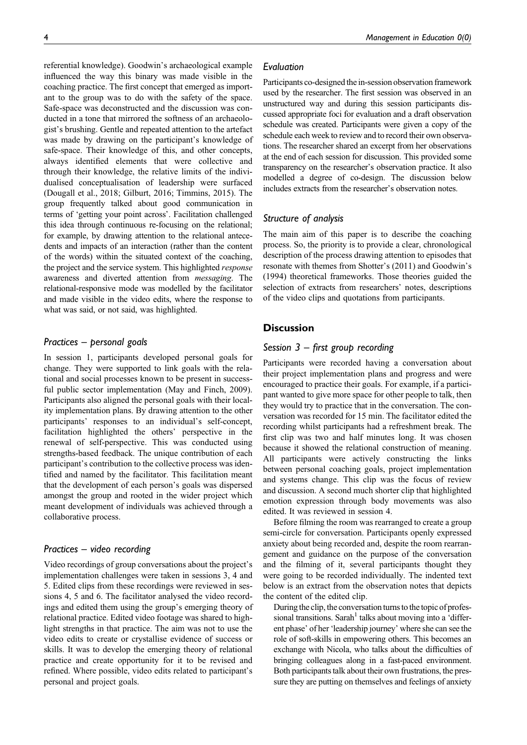referential knowledge). Goodwin's archaeological example influenced the way this binary was made visible in the coaching practice. The first concept that emerged as important to the group was to do with the safety of the space. Safe-space was deconstructed and the discussion was conducted in a tone that mirrored the softness of an archaeologist's brushing. Gentle and repeated attention to the artefact was made by drawing on the participant's knowledge of safe-space. Their knowledge of this, and other concepts, always identified elements that were collective and through their knowledge, the relative limits of the individualised conceptualisation of leadership were surfaced (Dougall et al., 2018; Gilburt, 2016; Timmins, 2015). The group frequently talked about good communication in terms of 'getting your point across'. Facilitation challenged this idea through continuous re-focusing on the relational; for example, by drawing attention to the relational antecedents and impacts of an interaction (rather than the content of the words) within the situated context of the coaching, the project and the service system. This highlighted response awareness and diverted attention from messaging. The relational-responsive mode was modelled by the facilitator and made visible in the video edits, where the response to what was said, or not said, was highlighted.

#### Practices – personal goals

In session 1, participants developed personal goals for change. They were supported to link goals with the relational and social processes known to be present in successful public sector implementation (May and Finch, 2009). Participants also aligned the personal goals with their locality implementation plans. By drawing attention to the other participants' responses to an individual's self-concept, facilitation highlighted the others' perspective in the renewal of self-perspective. This was conducted using strengths-based feedback. The unique contribution of each participant's contribution to the collective process was identified and named by the facilitator. This facilitation meant that the development of each person's goals was dispersed amongst the group and rooted in the wider project which meant development of individuals was achieved through a collaborative process.

#### Practices – video recording

Video recordings of group conversations about the project's implementation challenges were taken in sessions 3, 4 and 5. Edited clips from these recordings were reviewed in sessions 4, 5 and 6. The facilitator analysed the video recordings and edited them using the group's emerging theory of relational practice. Edited video footage was shared to highlight strengths in that practice. The aim was not to use the video edits to create or crystallise evidence of success or skills. It was to develop the emerging theory of relational practice and create opportunity for it to be revised and refined. Where possible, video edits related to participant's personal and project goals.

#### Evaluation

Participants co-designed the in-session observation framework used by the researcher. The first session was observed in an unstructured way and during this session participants discussed appropriate foci for evaluation and a draft observation schedule was created. Participants were given a copy of the schedule each week to review and to record their own observations. The researcher shared an excerpt from her observations at the end of each session for discussion. This provided some transparency on the researcher's observation practice. It also modelled a degree of co-design. The discussion below includes extracts from the researcher's observation notes.

# Structure of analysis

The main aim of this paper is to describe the coaching process. So, the priority is to provide a clear, chronological description of the process drawing attention to episodes that resonate with themes from Shotter's (2011) and Goodwin's (1994) theoretical frameworks. Those theories guided the selection of extracts from researchers' notes, descriptions of the video clips and quotations from participants.

# **Discussion**

# Session  $3$  – first group recording

Participants were recorded having a conversation about their project implementation plans and progress and were encouraged to practice their goals. For example, if a participant wanted to give more space for other people to talk, then they would try to practice that in the conversation. The conversation was recorded for 15 min. The facilitator edited the recording whilst participants had a refreshment break. The first clip was two and half minutes long. It was chosen because it showed the relational construction of meaning. All participants were actively constructing the links between personal coaching goals, project implementation and systems change. This clip was the focus of review and discussion. A second much shorter clip that highlighted emotion expression through body movements was also edited. It was reviewed in session 4.

Before filming the room was rearranged to create a group semi-circle for conversation. Participants openly expressed anxiety about being recorded and, despite the room rearrangement and guidance on the purpose of the conversation and the filming of it, several participants thought they were going to be recorded individually. The indented text below is an extract from the observation notes that depicts the content of the edited clip.

During the clip, the conversation turns to the topic of professional transitions. Sarah<sup>1</sup> talks about moving into a 'different phase' of her 'leadership journey' where she can see the role of soft-skills in empowering others. This becomes an exchange with Nicola, who talks about the difficulties of bringing colleagues along in a fast-paced environment. Both participants talk about their own frustrations, the pressure they are putting on themselves and feelings of anxiety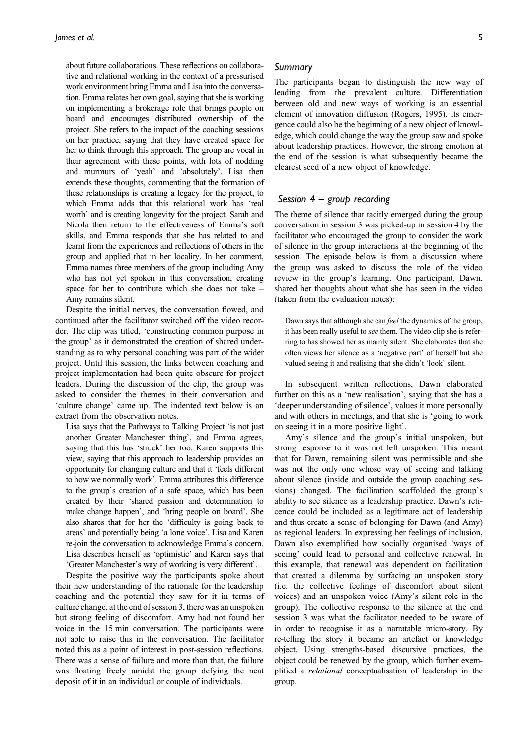about future collaborations. These reflections on collaborative and relational working in the context of a pressurised work environment bring Emma and Lisa into the conversation. Emma relates her own goal, saying that she is working on implementing a brokerage role that brings people on board and encourages distributed ownership of the project. She refers to the impact of the coaching sessions on her practice, saying that they have created space for her to think through this approach. The group are vocal in their agreement with these points, with lots of nodding and murmurs of 'yeah' and 'absolutely'. Lisa then extends these thoughts, commenting that the formation of these relationships is creating a legacy for the project, to which Emma adds that this relational work has 'real worth' and is creating longevity for the project. Sarah and Nicola then return to the effectiveness of Emma's soft skills, and Emma responds that she has related to and learnt from the experiences and reflections of others in the group and applied that in her locality. In her comment, Emma names three members of the group including Amy who has not yet spoken in this conversation, creating space for her to contribute which she does not take – Amy remains silent.

Despite the initial nerves, the conversation flowed, and continued after the facilitator switched off the video recorder. The clip was titled, 'constructing common purpose in the group' as it demonstrated the creation of shared understanding as to why personal coaching was part of the wider project. Until this session, the links between coaching and project implementation had been quite obscure for project leaders. During the discussion of the clip, the group was asked to consider the themes in their conversation and 'culture change' came up. The indented text below is an extract from the observation notes.

Lisa says that the Pathways to Talking Project 'is not just another Greater Manchester thing', and Emma agrees, saying that this has 'struck' her too. Karen supports this view, saying that this approach to leadership provides an opportunity for changing culture and that it 'feels different to how we normally work'. Emma attributes this difference to the group's creation of a safe space, which has been created by their 'shared passion and determination to make change happen', and 'bring people on board'. She also shares that for her the 'difficulty is going back to areas' and potentially being 'a lone voice'. Lisa and Karen re-join the conversation to acknowledge Emma's concern. Lisa describes herself as 'optimistic' and Karen says that 'Greater Manchester's way of working is very different'.

Despite the positive way the participants spoke about their new understanding of the rationale for the leadership coaching and the potential they saw for it in terms of culture change, at the end of session 3, there was an unspoken but strong feeling of discomfort. Amy had not found her voice in the 15 min conversation. The participants were not able to raise this in the conversation. The facilitator noted this as a point of interest in post-session reflections. There was a sense of failure and more than that, the failure was floating freely amidst the group defying the neat deposit of it in an individual or couple of individuals.

### Summary

The participants began to distinguish the new way of leading from the prevalent culture. Differentiation between old and new ways of working is an essential element of innovation diffusion (Rogers, 1995). Its emergence could also be the beginning of a new object of knowledge, which could change the way the group saw and spoke about leadership practices. However, the strong emotion at the end of the session is what subsequently became the clearest seed of a new object of knowledge.

#### Session  $4$  – group recording

The theme of silence that tacitly emerged during the group conversation in session 3 was picked-up in session 4 by the facilitator who encouraged the group to consider the work of silence in the group interactions at the beginning of the session. The episode below is from a discussion where the group was asked to discuss the role of the video review in the group's learning. One participant, Dawn, shared her thoughts about what she has seen in the video (taken from the evaluation notes):

Dawn says that although she can *feel* the dynamics of the group, it has been really useful to see them. The video clip she is referring to has showed her as mainly silent. She elaborates that she often views her silence as a 'negative part' of herself but she valued seeing it and realising that she didn't 'look' silent.

In subsequent written reflections, Dawn elaborated further on this as a 'new realisation', saying that she has a 'deeper understanding of silence', values it more personally and with others in meetings, and that she is 'going to work on seeing it in a more positive light'.

Amy's silence and the group's initial unspoken, but strong response to it was not left unspoken. This meant that for Dawn, remaining silent was permissible and she was not the only one whose way of seeing and talking about silence (inside and outside the group coaching sessions) changed. The facilitation scaffolded the group's ability to see silence as a leadership practice. Dawn's reticence could be included as a legitimate act of leadership and thus create a sense of belonging for Dawn (and Amy) as regional leaders. In expressing her feelings of inclusion, Dawn also exemplified how socially organised 'ways of seeing' could lead to personal and collective renewal. In this example, that renewal was dependent on facilitation that created a dilemma by surfacing an unspoken story (i.e. the collective feelings of discomfort about silent voices) and an unspoken voice (Amy's silent role in the group). The collective response to the silence at the end session 3 was what the facilitator needed to be aware of in order to recognise it as a narratable micro-story. By re-telling the story it became an artefact or knowledge object. Using strengths-based discursive practices, the object could be renewed by the group, which further exemplified a relational conceptualisation of leadership in the group.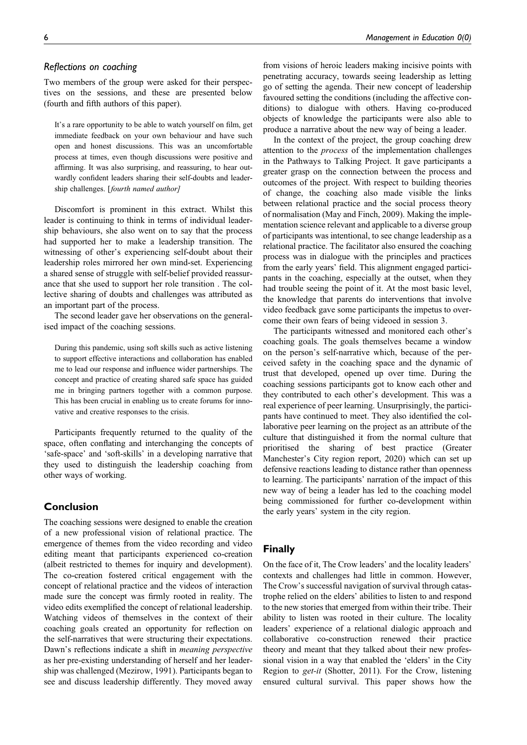#### Reflections on coaching

Two members of the group were asked for their perspectives on the sessions, and these are presented below (fourth and fifth authors of this paper).

It's a rare opportunity to be able to watch yourself on film, get immediate feedback on your own behaviour and have such open and honest discussions. This was an uncomfortable process at times, even though discussions were positive and affirming. It was also surprising, and reassuring, to hear outwardly confident leaders sharing their self-doubts and leadership challenges. [fourth named author]

Discomfort is prominent in this extract. Whilst this leader is continuing to think in terms of individual leadership behaviours, she also went on to say that the process had supported her to make a leadership transition. The witnessing of other's experiencing self-doubt about their leadership roles mirrored her own mind-set. Experiencing a shared sense of struggle with self-belief provided reassurance that she used to support her role transition . The collective sharing of doubts and challenges was attributed as an important part of the process.

The second leader gave her observations on the generalised impact of the coaching sessions.

During this pandemic, using soft skills such as active listening to support effective interactions and collaboration has enabled me to lead our response and influence wider partnerships. The concept and practice of creating shared safe space has guided me in bringing partners together with a common purpose. This has been crucial in enabling us to create forums for innovative and creative responses to the crisis.

Participants frequently returned to the quality of the space, often conflating and interchanging the concepts of 'safe-space' and 'soft-skills' in a developing narrative that they used to distinguish the leadership coaching from other ways of working.

# Conclusion

The coaching sessions were designed to enable the creation of a new professional vision of relational practice. The emergence of themes from the video recording and video editing meant that participants experienced co-creation (albeit restricted to themes for inquiry and development). The co-creation fostered critical engagement with the concept of relational practice and the videos of interaction made sure the concept was firmly rooted in reality. The video edits exemplified the concept of relational leadership. Watching videos of themselves in the context of their coaching goals created an opportunity for reflection on the self-narratives that were structuring their expectations. Dawn's reflections indicate a shift in meaning perspective as her pre-existing understanding of herself and her leadership was challenged (Mezirow, 1991). Participants began to see and discuss leadership differently. They moved away

from visions of heroic leaders making incisive points with penetrating accuracy, towards seeing leadership as letting go of setting the agenda. Their new concept of leadership favoured setting the conditions (including the affective conditions) to dialogue with others. Having co-produced objects of knowledge the participants were also able to produce a narrative about the new way of being a leader.

In the context of the project, the group coaching drew attention to the process of the implementation challenges in the Pathways to Talking Project. It gave participants a greater grasp on the connection between the process and outcomes of the project. With respect to building theories of change, the coaching also made visible the links between relational practice and the social process theory of normalisation (May and Finch, 2009). Making the implementation science relevant and applicable to a diverse group of participants was intentional, to see change leadership as a relational practice. The facilitator also ensured the coaching process was in dialogue with the principles and practices from the early years' field. This alignment engaged participants in the coaching, especially at the outset, when they had trouble seeing the point of it. At the most basic level, the knowledge that parents do interventions that involve video feedback gave some participants the impetus to overcome their own fears of being videoed in session 3.

The participants witnessed and monitored each other's coaching goals. The goals themselves became a window on the person's self-narrative which, because of the perceived safety in the coaching space and the dynamic of trust that developed, opened up over time. During the coaching sessions participants got to know each other and they contributed to each other's development. This was a real experience of peer learning. Unsurprisingly, the participants have continued to meet. They also identified the collaborative peer learning on the project as an attribute of the culture that distinguished it from the normal culture that prioritised the sharing of best practice (Greater Manchester's City region report, 2020) which can set up defensive reactions leading to distance rather than openness to learning. The participants' narration of the impact of this new way of being a leader has led to the coaching model being commissioned for further co-development within the early years' system in the city region.

## Finally

On the face of it, The Crow leaders' and the locality leaders' contexts and challenges had little in common. However, The Crow's successful navigation of survival through catastrophe relied on the elders' abilities to listen to and respond to the new stories that emerged from within their tribe. Their ability to listen was rooted in their culture. The locality leaders' experience of a relational dialogic approach and collaborative co-construction renewed their practice theory and meant that they talked about their new professional vision in a way that enabled the 'elders' in the City Region to get-it (Shotter, 2011). For the Crow, listening ensured cultural survival. This paper shows how the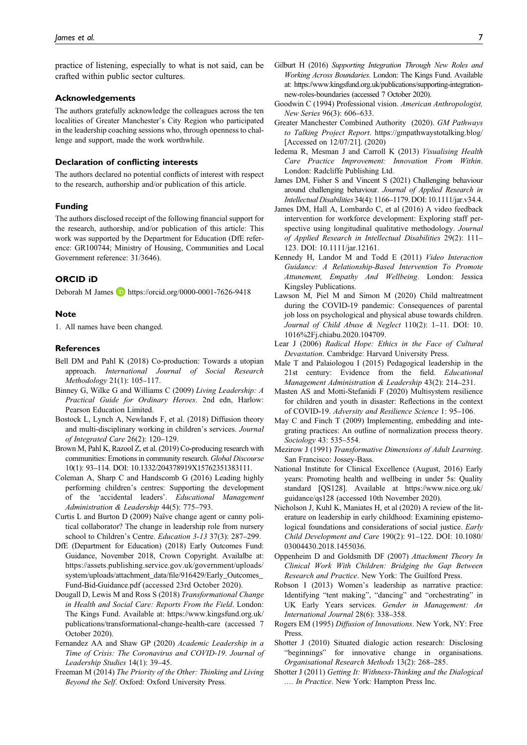practice of listening, especially to what is not said, can be crafted within public sector cultures.

#### Acknowledgements

The authors gratefully acknowledge the colleagues across the ten localities of Greater Manchester's City Region who participated in the leadership coaching sessions who, through openness to challenge and support, made the work worthwhile.

#### Declaration of conflicting interests

The authors declared no potential conflicts of interest with respect to the research, authorship and/or publication of this article.

#### Funding

The authors disclosed receipt of the following financial support for the research, authorship, and/or publication of this article: This work was supported by the Department for Education (DfE reference: GR100744; Ministry of Housing, Communities and Local Government reference: 31/3646).

#### ORCID iD

Deborah M James **D** <https://orcid.org/0000-0001-7626-9418>

#### **Note**

1. All names have been changed.

#### References

- Bell DM and Pahl K (2018) Co-production: Towards a utopian approach. International Journal of Social Research Methodology 21(1): 105–117.
- Binney G, Wilke G and Williams C (2009) Living Leadership: A Practical Guide for Ordinary Heroes. 2nd edn, Harlow: Pearson Education Limited.
- Bostock L, Lynch A, Newlands F, et al. (2018) Diffusion theory and multi-disciplinary working in children's services. Journal of Integrated Care 26(2): 120–129.
- Brown M, Pahl K, Razool Z, et al. (2019) Co-producing research with communities: Emotions in community research. Global Discourse 10(1): 93–114. DOI: [10.1332/204378919X15762351383111.](https://doi.org/10.1332/204378919X15762351383111)
- Coleman A, Sharp C and Handscomb G (2016) Leading highly performing children's centres: Supporting the development of the 'accidental leaders'. Educational Management Administration & Leadership 44(5): 775-793.
- Curtis L and Burton D (2009) Naïve change agent or canny political collaborator? The change in leadership role from nursery school to Children's Centre. Education 3-13 37(3): 287–299.
- DfE (Department for Education) (2018) Early Outcomes Fund: Guidance, November 2018, Crown Copyright. Availalbe at: [https://assets.publishing.service.gov.uk/government/uploads/](https://assets.publishing.service.gov.uk/government/uploads/system/uploads/attachment_data/file/916429/Early_Outcomes_Fund-Bid-Guidance.pdf) [system/uploads/attachment\\_data/](https://assets.publishing.service.gov.uk/government/uploads/system/uploads/attachment_data/file/916429/Early_Outcomes_Fund-Bid-Guidance.pdf)file/916429/Early\_Outcomes\_ [Fund-Bid-Guidance.pdf](https://assets.publishing.service.gov.uk/government/uploads/system/uploads/attachment_data/file/916429/Early_Outcomes_Fund-Bid-Guidance.pdf) (accessed 23rd October 2020).
- Dougall D, Lewis M and Ross S (2018) Transformational Change in Health and Social Care: Reports From the Field. London: The Kings Fund. Available at: [https://www.kingsfund.org.uk/](https://www.kingsfund.org.uk/publications/transformational-change-health-care) [publications/transformational-change-health-care](https://www.kingsfund.org.uk/publications/transformational-change-health-care) (accessed 7 October 2020).
- Fernandez AA and Shaw GP (2020) Academic Leadership in a Time of Crisis: The Coronavirus and COVID-19. Journal of Leadership Studies 14(1): 39–45.
- Freeman M (2014) The Priority of the Other: Thinking and Living Beyond the Self. Oxford: Oxford University Press.
- Gilburt H (2016) Supporting Integration Through New Roles and Working Across Boundaries. London: The Kings Fund. Available at: [https://www.kingsfund.org.uk/publications/supporting-integration](https://www.kingsfund.org.uk/publications/supporting-integration-new-roles-boundaries)[new-roles-boundaries](https://www.kingsfund.org.uk/publications/supporting-integration-new-roles-boundaries) (accessed 7 October 2020).
- Goodwin C (1994) Professional vision. American Anthropologist, New Series 96(3): 606–633.
- Greater Manchester Combined Authority (2020). GM Pathways to Talking Project Report. https://gmpathwaystotalking.blog/ [Accessed on 12/07/21]. (2020)
- Iedema R, Mesman J and Carroll K (2013) Visualising Health Care Practice Improvement: Innovation From Within. London: Radcliffe Publishing Ltd.
- James DM, Fisher S and Vincent S (2021) Challenging behaviour around challenging behaviour. Journal of Applied Research in Intellectual Disabilities 34(4): 1166–1179. DOI: [10.1111/jar.v34.4](https://doi.org/10.1111/jar.v34.4).
- James DM, Hall A, Lombardo C, et al (2016) A video feedback intervention for workforce development: Exploring staff perspective using longitudinal qualitative methodology. Journal of Applied Research in Intellectual Disabilities 29(2): 111– 123. DOI: [10.1111/jar.12161.](https://doi.org/10.1111/jar.12161)
- Kennedy H, Landor M and Todd E (2011) Video Interaction Guidance: A Relationship-Based Intervention To Promote Attunement, Empathy And Wellbeing. London: Jessica Kingsley Publications.
- Lawson M, Piel M and Simon M (2020) Child maltreatment during the COVID-19 pandemic: Consequences of parental job loss on psychological and physical abuse towards children. Journal of Child Abuse & Neglect 110(2): 1–11. DOI: [10.](https://doi.org/10.1016%2Fj.chiabu.2020.104709) [1016%2Fj.chiabu.2020.104709](https://doi.org/10.1016%2Fj.chiabu.2020.104709).
- Lear J (2006) Radical Hope: Ethics in the Face of Cultural Devastation. Cambridge: Harvard University Press.
- Male T and Palaiologou I (2015) Pedagogical leadership in the 21st century: Evidence from the field. Educational Management Administration & Leadership 43(2): 214–231.
- Masten AS and Motti-Stefanidi F (2020) Multisystem resilience for children and youth in disaster: Reflections in the context of COVID-19. Adversity and Resilience Science 1: 95–106.
- May C and Finch T (2009) Implementing, embedding and integrating practices: An outline of normalization process theory. Sociology 43: 535–554.
- Mezirow J (1991) Transformative Dimensions of Adult Learning. San Francisco: Jossey-Bass.
- National Institute for Clinical Excellence (August, 2016) Early years: Promoting health and wellbeing in under 5s: Quality standard [QS128]. Available at [https://www.nice.org.uk/](https://www.nice.org.uk/guidance/qs128) [guidance/qs128](https://www.nice.org.uk/guidance/qs128) (accessed 10th November 2020).
- Nicholson J, Kuhl K, Maniates H, et al (2020) A review of the literature on leadership in early childhood: Examining epistemological foundations and considerations of social justice. Early Child Development and Care 190(2): 91–122. DOI: [10.1080/](https://doi.org/10.1080/03004430.2018.1455036) [03004430.2018.1455036](https://doi.org/10.1080/03004430.2018.1455036).
- Oppenheim D and Goldsmith DF (2007) Attachment Theory In Clinical Work With Children: Bridging the Gap Between Research and Practice. New York: The Guilford Press.
- Robson I (2013) Women's leadership as narrative practice: Identifying "tent making", "dancing" and "orchestrating" in UK Early Years services. Gender in Management: An International Journal 28(6): 338–358.
- Rogers EM (1995) Diffusion of Innovations. New York, NY: Free Press.
- Shotter J (2010) Situated dialogic action research: Disclosing "beginnings" for innovative change in organisations. Organisational Research Methods 13(2): 268–285.
- Shotter J (2011) Getting It: Withness-Thinking and the Dialogical .... In Practice. New York: Hampton Press Inc.